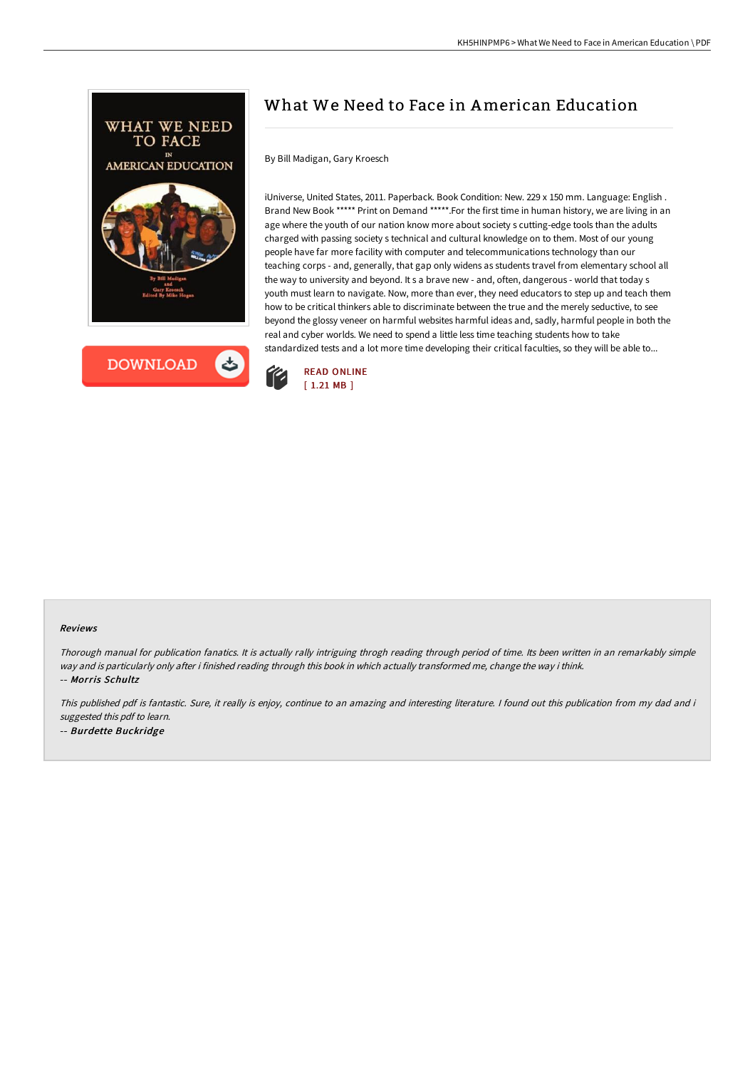



## What We Need to Face in American Education

By Bill Madigan, Gary Kroesch

iUniverse, United States, 2011. Paperback. Book Condition: New. 229 x 150 mm. Language: English . Brand New Book \*\*\*\*\* Print on Demand \*\*\*\*\*.For the first time in human history, we are living in an age where the youth of our nation know more about society s cutting-edge tools than the adults charged with passing society s technical and cultural knowledge on to them. Most of our young people have far more facility with computer and telecommunications technology than our teaching corps - and, generally, that gap only widens as students travel from elementary school all the way to university and beyond. It s a brave new - and, often, dangerous - world that today s youth must learn to navigate. Now, more than ever, they need educators to step up and teach them how to be critical thinkers able to discriminate between the true and the merely seductive, to see beyond the glossy veneer on harmful websites harmful ideas and, sadly, harmful people in both the real and cyber worlds. We need to spend a little less time teaching students how to take standardized tests and a lot more time developing their critical faculties, so they will be able to...



## Reviews

Thorough manual for publication fanatics. It is actually rally intriguing throgh reading through period of time. Its been written in an remarkably simple way and is particularly only after i finished reading through this book in which actually transformed me, change the way i think. -- Morris Schultz

This published pdf is fantastic. Sure, it really is enjoy, continue to an amazing and interesting literature. I found out this publication from my dad and i suggested this pdf to learn. -- Burdette Buckridge